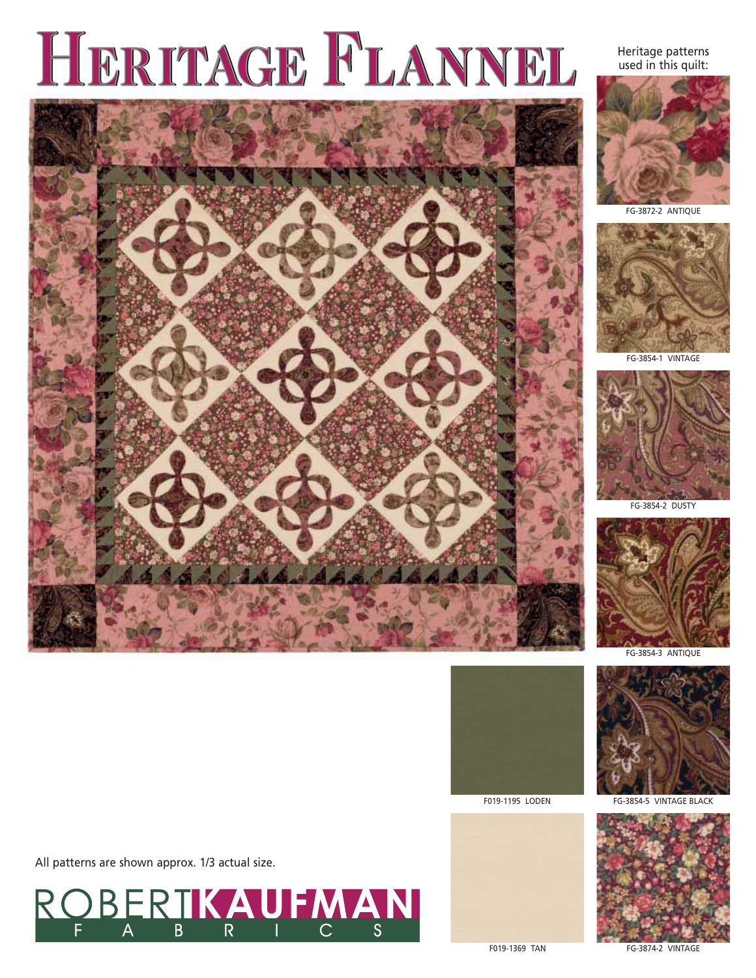# HERITAGE FLANNEL

Heritage patterns used in this quilt:







FG-3854-1 VINTAGE



FG-3854-2 DUSTY













All patterns are shown approx. 1/3 actual size.